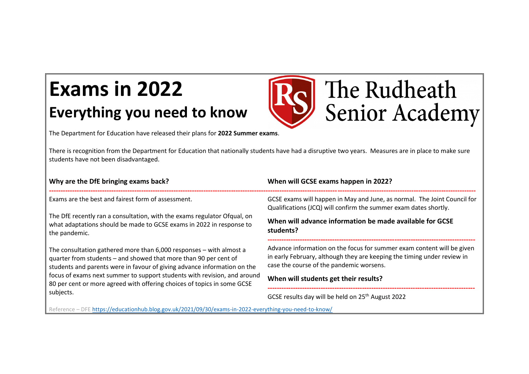## **Exams in 2022 Everything you need to know**

The Department for Education have released their plans for **2022 Summer exams**.

There is recognition from the Department for Education that nationally students have had a disruptive two years. Measures are in place to make sure students have not been disadvantaged.

The Rudheath

**Senior Academy** 

| Why are the DfE bringing exams back?                                                                                                                                                                                | When will GCSE exams happen in 2022?                                                                                                                                                          |
|---------------------------------------------------------------------------------------------------------------------------------------------------------------------------------------------------------------------|-----------------------------------------------------------------------------------------------------------------------------------------------------------------------------------------------|
| Exams are the best and fairest form of assessment.                                                                                                                                                                  | GCSE exams will happen in May and June, as normal. The Joint Council for<br>Qualifications (JCQ) will confirm the summer exam dates shortly.                                                  |
| The DfE recently ran a consultation, with the exams regulator Ofqual, on<br>what adaptations should be made to GCSE exams in 2022 in response to<br>the pandemic.                                                   | When will advance information be made available for GCSE<br>students?                                                                                                                         |
| The consultation gathered more than 6,000 responses – with almost a<br>quarter from students – and showed that more than 90 per cent of<br>students and parents were in favour of giving advance information on the | Advance information on the focus for summer exam content will be given<br>in early February, although they are keeping the timing under review in<br>case the course of the pandemic worsens. |
| focus of exams next summer to support students with revision, and around<br>80 per cent or more agreed with offering choices of topics in some GCSE<br>subjects.                                                    | When will students get their results?                                                                                                                                                         |
|                                                                                                                                                                                                                     | GCSE results day will be held on 25 <sup>th</sup> August 2022                                                                                                                                 |

Reference – DFE<https://educationhub.blog.gov.uk/2021/09/30/exams-in-2022-everything-you-need-to-know/>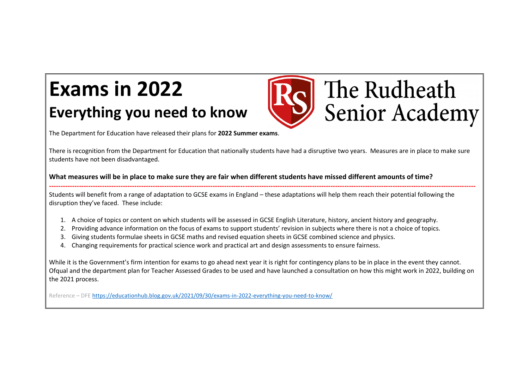## **Exams in 2022 Everything you need to know**



The Department for Education have released their plans for **2022 Summer exams**.

There is recognition from the Department for Education that nationally students have had a disruptive two years. Measures are in place to make sure students have not been disadvantaged.

**What measures will be in place to make sure they are fair when different students have missed different amounts of time?**

**-----------------------------------------------------------------------------------------------------------------------------------------------------------------------------------------** Students will benefit from a range of adaptation to GCSE exams in England – these adaptations will help them reach their potential following the disruption they've faced. These include:

- 1. A choice of topics or content on which students will be assessed in GCSE English Literature, history, ancient history and geography.
- 2. Providing advance information on the focus of exams to support students' revision in subjects where there is not a choice of topics.
- 3. Giving students formulae sheets in GCSE maths and revised equation sheets in GCSE combined science and physics.
- 4. Changing requirements for practical science work and practical art and design assessments to ensure fairness.

While it is the Government's firm intention for exams to go ahead next year it is right for contingency plans to be in place in the event they cannot. Ofqual and the department plan for Teacher Assessed Grades to be used and have launched a consultation on how this might work in 2022, building on the 2021 process.

Reference – DFE<https://educationhub.blog.gov.uk/2021/09/30/exams-in-2022-everything-you-need-to-know/>